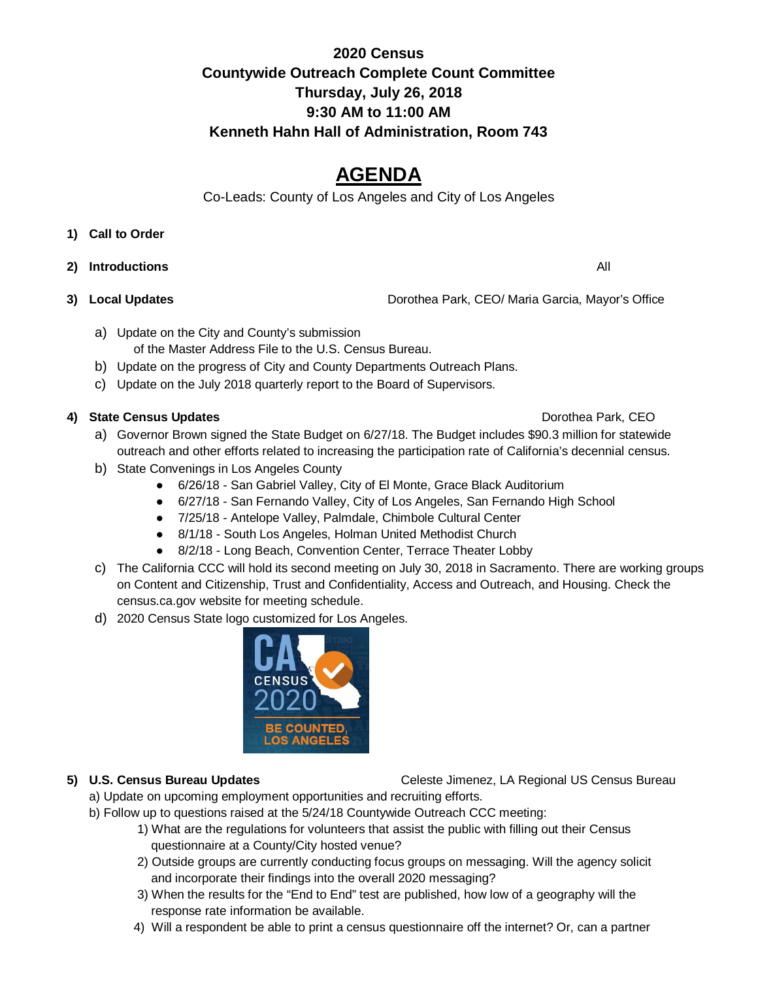## **2020 Census Countywide Outreach Complete Count Committee Thursday, July 26, 2018 9:30 AM to 11:00 AM Kenneth Hahn Hall of Administration, Room 743**

# **AGENDA**

Co-Leads: County of Los Angeles and City of Los Angeles

### **1) Call to Order**

- **2) Introductions** All
- 

**3) Local Updates** Dorothea Park, CEO/ Maria Garcia, Mayor's Office

- a) Update on the City and County's submission of the Master Address File to the U.S. Census Bureau.
- b) Update on the progress of City and County Departments Outreach Plans.
- c) Update on the July 2018 quarterly report to the Board of Supervisors.

### **4) State Census Updates <b>Domestic CEO Domestic CEO Dorothea Park, CEO**

- a) Governor Brown signed the State Budget on 6/27/18. The Budget includes \$90.3 million for statewide outreach and other efforts related to increasing the participation rate of California's decennial census.
- b) State Convenings in Los Angeles County
	- 6/26/18 San Gabriel Valley, City of El Monte, Grace Black Auditorium
	- 6/27/18 San Fernando Valley, City of Los Angeles, San Fernando High School
	- 7/25/18 Antelope Valley, Palmdale, Chimbole Cultural Center
	- 8/1/18 South Los Angeles, Holman United Methodist Church
	- 8/2/18 Long Beach, Convention Center, Terrace Theater Lobby
- c) The California CCC will hold its second meeting on July 30, 2018 in Sacramento. There are working groups on Content and Citizenship, Trust and Confidentiality, Access and Outreach, and Housing. Check the census.ca.gov website for meeting schedule.
- d) 2020 Census State logo customized for Los Angeles.



### **5) U.S. Census Bureau Updates** Celeste Jimenez, LA Regional US Census Bureau

- a) Update on upcoming employment opportunities and recruiting efforts.
- b) Follow up to questions raised at the 5/24/18 Countywide Outreach CCC meeting:
	- 1) What are the regulations for volunteers that assist the public with filling out their Census questionnaire at a County/City hosted venue?
	- 2) Outside groups are currently conducting focus groups on messaging. Will the agency solicit and incorporate their findings into the overall 2020 messaging?
	- 3) When the results for the "End to End" test are published, how low of a geography will the response rate information be available.
	- 4) Will a respondent be able to print a census questionnaire off the internet? Or, can a partner